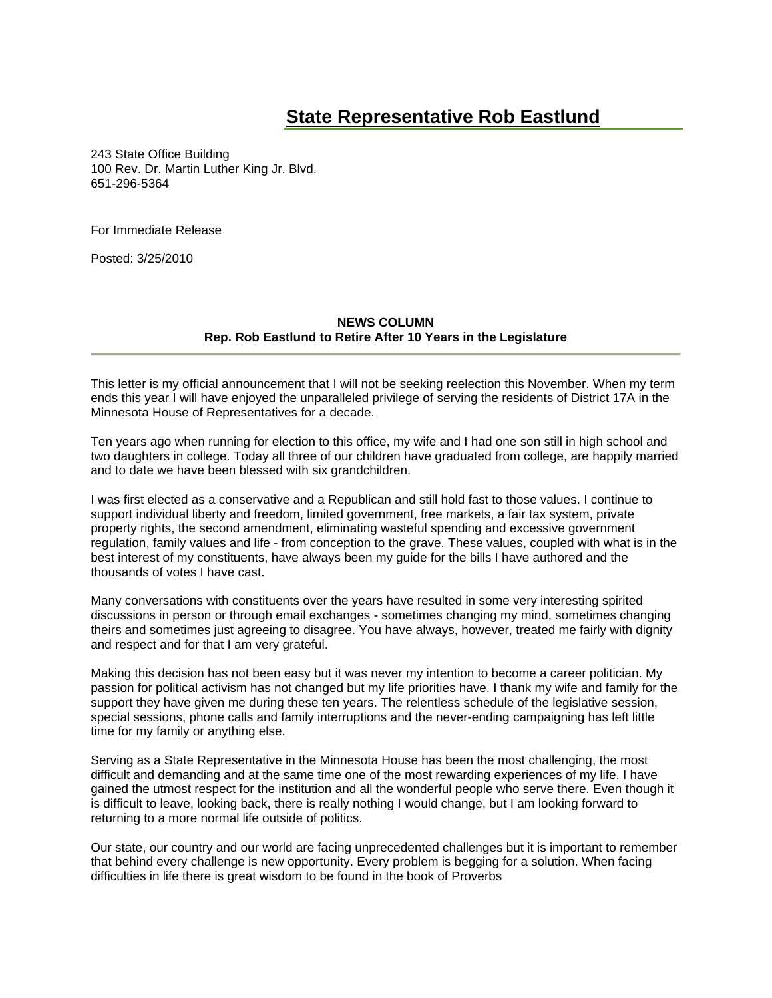## **[State Representative Rob Eastlund](http://www.house.leg.state.mn.us/members/members.asp?id=10156)**

243 State Office Building 100 Rev. Dr. Martin Luther King Jr. Blvd. 651-296-5364

For Immediate Release

Posted: 3/25/2010

## **NEWS COLUMN Rep. Rob Eastlund to Retire After 10 Years in the Legislature**

This letter is my official announcement that I will not be seeking reelection this November. When my term ends this year I will have enjoyed the unparalleled privilege of serving the residents of District 17A in the Minnesota House of Representatives for a decade.

Ten years ago when running for election to this office, my wife and I had one son still in high school and two daughters in college. Today all three of our children have graduated from college, are happily married and to date we have been blessed with six grandchildren.

I was first elected as a conservative and a Republican and still hold fast to those values. I continue to support individual liberty and freedom, limited government, free markets, a fair tax system, private property rights, the second amendment, eliminating wasteful spending and excessive government regulation, family values and life - from conception to the grave. These values, coupled with what is in the best interest of my constituents, have always been my guide for the bills I have authored and the thousands of votes I have cast.

Many conversations with constituents over the years have resulted in some very interesting spirited discussions in person or through email exchanges - sometimes changing my mind, sometimes changing theirs and sometimes just agreeing to disagree. You have always, however, treated me fairly with dignity and respect and for that I am very grateful.

Making this decision has not been easy but it was never my intention to become a career politician. My passion for political activism has not changed but my life priorities have. I thank my wife and family for the support they have given me during these ten years. The relentless schedule of the legislative session, special sessions, phone calls and family interruptions and the never-ending campaigning has left little time for my family or anything else.

Serving as a State Representative in the Minnesota House has been the most challenging, the most difficult and demanding and at the same time one of the most rewarding experiences of my life. I have gained the utmost respect for the institution and all the wonderful people who serve there. Even though it is difficult to leave, looking back, there is really nothing I would change, but I am looking forward to returning to a more normal life outside of politics.

Our state, our country and our world are facing unprecedented challenges but it is important to remember that behind every challenge is new opportunity. Every problem is begging for a solution. When facing difficulties in life there is great wisdom to be found in the book of Proverbs